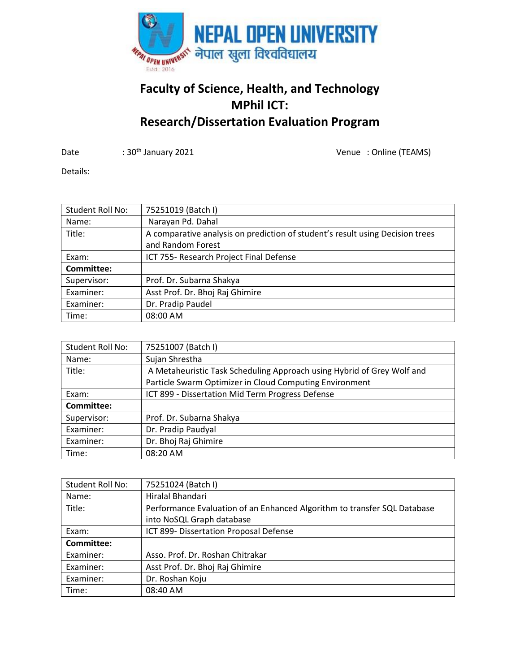

## **Faculty of Science, Health, and Technology MPhil ICT: Research/Dissertation Evaluation Program**

Date : 30<sup>th</sup> January 2021 **1988** Control of Mate : Online (TEAMS)

Details:

| Student Roll No: | 75251019 (Batch I)                                                            |
|------------------|-------------------------------------------------------------------------------|
| Name:            | Narayan Pd. Dahal                                                             |
| Title:           | A comparative analysis on prediction of student's result using Decision trees |
|                  | and Random Forest                                                             |
| Exam:            | ICT 755- Research Project Final Defense                                       |
| Committee:       |                                                                               |
| Supervisor:      | Prof. Dr. Subarna Shakya                                                      |
| Examiner:        | Asst Prof. Dr. Bhoj Raj Ghimire                                               |
| Examiner:        | Dr. Pradip Paudel                                                             |
| Time:            | 08:00 AM                                                                      |

| Student Roll No: | 75251007 (Batch I)                                                     |
|------------------|------------------------------------------------------------------------|
| Name:            | Sujan Shrestha                                                         |
| Title:           | A Metaheuristic Task Scheduling Approach using Hybrid of Grey Wolf and |
|                  | Particle Swarm Optimizer in Cloud Computing Environment                |
| Exam:            | ICT 899 - Dissertation Mid Term Progress Defense                       |
| Committee:       |                                                                        |
| Supervisor:      | Prof. Dr. Subarna Shakya                                               |
| Examiner:        | Dr. Pradip Paudyal                                                     |
| Examiner:        | Dr. Bhoj Raj Ghimire                                                   |
| Time:            | 08:20 AM                                                               |

| Student Roll No: | 75251024 (Batch I)                                                       |
|------------------|--------------------------------------------------------------------------|
| Name:            | Hiralal Bhandari                                                         |
| Title:           | Performance Evaluation of an Enhanced Algorithm to transfer SQL Database |
|                  | into NoSQL Graph database                                                |
| Exam:            | ICT 899- Dissertation Proposal Defense                                   |
| Committee:       |                                                                          |
| Examiner:        | Asso. Prof. Dr. Roshan Chitrakar                                         |
| Examiner:        | Asst Prof. Dr. Bhoj Raj Ghimire                                          |
| Examiner:        | Dr. Roshan Koju                                                          |
| Time:            | 08:40 AM                                                                 |